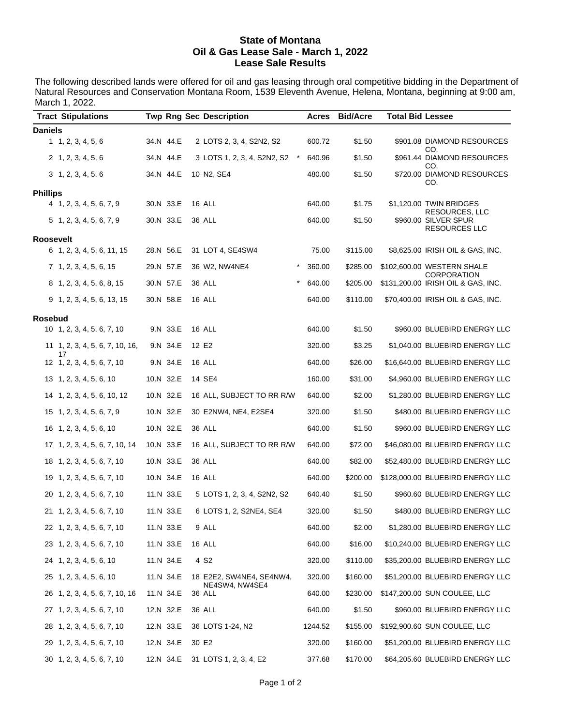#### **State of Montana Oil & Gas Lease Sale - March 1, 2022 Lease Sale Results**

The following described lands were offered for oil and gas leasing through oral competitive bidding in the Department of Natural Resources and Conservation Montana Room, 1539 Eleventh Avenue, Helena, Montana, beginning at 9:00 am, March 1, 2022.

|                 | <b>Tract Stipulations</b>             |           |           | <b>Twp Rng Sec Description</b> |          | Acres   | <b>Bid/Acre</b> | <b>Total Bid Lessee</b> |                                                  |
|-----------------|---------------------------------------|-----------|-----------|--------------------------------|----------|---------|-----------------|-------------------------|--------------------------------------------------|
| Daniels         |                                       |           |           |                                |          |         |                 |                         |                                                  |
|                 | 1, 2, 3, 4, 5, 6                      |           | 34.N 44.E | 2 LOTS 2, 3, 4, S2N2, S2       |          | 600.72  | \$1.50          |                         | \$901.08 DIAMOND RESOURCES<br>CO.                |
|                 | 2, 1, 2, 3, 4, 5, 6                   |           | 34.N 44.E | 3 LOTS 1, 2, 3, 4, S2N2, S2    | $\star$  | 640.96  | \$1.50          |                         | \$961.44 DIAMOND RESOURCES<br>CO.                |
|                 | 3, 1, 2, 3, 4, 5, 6                   |           | 34.N 44.E | 10 N2, SE4                     |          | 480.00  | \$1.50          |                         | \$720.00 DIAMOND RESOURCES<br>CO.                |
| <b>Phillips</b> |                                       |           |           |                                |          |         |                 |                         |                                                  |
|                 | 4 1, 2, 3, 4, 5, 6, 7, 9              |           | 30.N 33.E | 16 ALL                         |          | 640.00  | \$1.75          |                         | \$1,120.00 TWIN BRIDGES<br><b>RESOURCES, LLC</b> |
|                 | 5 1, 2, 3, 4, 5, 6, 7, 9              |           | 30.N 33.E | <b>36 ALL</b>                  |          | 640.00  | \$1.50          |                         | \$960.00 SILVER SPUR<br><b>RESOURCES LLC</b>     |
| Roosevelt       |                                       |           |           |                                |          |         |                 |                         |                                                  |
|                 | 6 1, 2, 3, 4, 5, 6, 11, 15            |           | 28.N 56.E | 31 LOT 4, SE4SW4               |          | 75.00   | \$115.00        |                         | \$8,625.00 IRISH OIL & GAS, INC.                 |
|                 | 7 1, 2, 3, 4, 5, 6, 15                |           | 29.N 57.E | 36 W2, NW4NE4                  | $^\star$ | 360.00  | \$285.00        |                         | \$102,600.00 WESTERN SHALE<br><b>CORPORATION</b> |
|                 | 8 1, 2, 3, 4, 5, 6, 8, 15             |           | 30.N 57.E | 36 ALL                         | $^\star$ | 640.00  | \$205.00        |                         | \$131,200.00 IRISH OIL & GAS, INC.               |
|                 | $9$ 1, 2, 3, 4, 5, 6, 13, 15          |           | 30.N 58.E | 16 ALL                         |          | 640.00  | \$110.00        |                         | \$70,400.00 IRISH OIL & GAS, INC.                |
| Rosebud         |                                       |           |           |                                |          |         |                 |                         |                                                  |
|                 | $10 \quad 1, 2, 3, 4, 5, 6, 7, 10$    |           | 9.N 33.E  | 16 ALL                         |          | 640.00  | \$1.50          |                         | \$960.00 BLUEBIRD ENERGY LLC                     |
|                 | 11 1, 2, 3, 4, 5, 6, 7, 10, 16,<br>17 |           | 9.N 34.E  | 12 E2                          |          | 320.00  | \$3.25          |                         | \$1,040.00 BLUEBIRD ENERGY LLC                   |
|                 | 12 1, 2, 3, 4, 5, 6, 7, 10            |           | 9.N 34.E  | 16 ALL                         |          | 640.00  | \$26.00         |                         | \$16,640.00 BLUEBIRD ENERGY LLC                  |
|                 | $13 \quad 1, 2, 3, 4, 5, 6, 10$       |           | 10.N 32.E | 14 SE4                         |          | 160.00  | \$31.00         |                         | \$4,960.00 BLUEBIRD ENERGY LLC                   |
|                 | 14 1, 2, 3, 4, 5, 6, 10, 12           |           | 10.N 32.E | 16 ALL, SUBJECT TO RR R/W      |          | 640.00  | \$2.00          |                         | \$1,280.00 BLUEBIRD ENERGY LLC                   |
|                 | 15 1, 2, 3, 4, 5, 6, 7, 9             |           | 10.N 32.E | 30 E2NW4, NE4, E2SE4           |          | 320.00  | \$1.50          |                         | \$480.00 BLUEBIRD ENERGY LLC                     |
|                 | 16 1, 2, 3, 4, 5, 6, 10               |           | 10.N 32.E | 36 ALL                         |          | 640.00  | \$1.50          |                         | \$960.00 BLUEBIRD ENERGY LLC                     |
|                 | 17 1, 2, 3, 4, 5, 6, 7, 10, 14        | 10.N 33.E |           | 16 ALL, SUBJECT TO RR R/W      |          | 640.00  | \$72.00         |                         | \$46,080.00 BLUEBIRD ENERGY LLC                  |
|                 | 18 1, 2, 3, 4, 5, 6, 7, 10            |           | 10.N 33.E | 36 ALL                         |          | 640.00  | \$82.00         |                         | \$52,480.00 BLUEBIRD ENERGY LLC                  |
|                 | 19 1, 2, 3, 4, 5, 6, 7, 10            |           | 10.N 34.E | 16 ALL                         |          | 640.00  | \$200.00        |                         | \$128,000.00 BLUEBIRD ENERGY LLC                 |
|                 | 20 1, 2, 3, 4, 5, 6, 7, 10            |           | 11.N 33.E | 5 LOTS 1, 2, 3, 4, S2N2, S2    |          | 640.40  | \$1.50          |                         | \$960.60 BLUEBIRD ENERGY LLC                     |
|                 | 21 1, 2, 3, 4, 5, 6, 7, 10            |           | 11.N 33.E | 6 LOTS 1, 2, S2NE4, SE4        |          | 320.00  | \$1.50          |                         | \$480.00 BLUEBIRD ENERGY LLC                     |
|                 | 22 1, 2, 3, 4, 5, 6, 7, 10            |           | 11.N 33.E | 9 ALL                          |          | 640.00  | \$2.00          |                         | \$1,280.00 BLUEBIRD ENERGY LLC                   |
|                 | 23 1, 2, 3, 4, 5, 6, 7, 10            |           | 11.N 33.E | 16 ALL                         |          | 640.00  | \$16.00         |                         | \$10,240.00 BLUEBIRD ENERGY LLC                  |
|                 | 24 1, 2, 3, 4, 5, 6, 10               |           | 11.N 34.E | 4 S <sub>2</sub>               |          | 320.00  | \$110.00        |                         | \$35,200.00 BLUEBIRD ENERGY LLC                  |
|                 | 25 1, 2, 3, 4, 5, 6, 10               |           | 11.N 34.E | 18 E2E2, SW4NE4, SE4NW4,       |          | 320.00  | \$160.00        |                         | \$51,200.00 BLUEBIRD ENERGY LLC                  |
|                 | 26 1, 2, 3, 4, 5, 6, 7, 10, 16        |           | 11.N 34.E | NE4SW4, NW4SE4<br>36 ALL       |          | 640.00  | \$230.00        |                         | \$147,200.00 SUN COULEE, LLC                     |
|                 | 27 1, 2, 3, 4, 5, 6, 7, 10            |           | 12.N 32.E | 36 ALL                         |          | 640.00  | \$1.50          |                         | \$960.00 BLUEBIRD ENERGY LLC                     |
|                 | 28 1, 2, 3, 4, 5, 6, 7, 10            |           | 12.N 33.E | 36 LOTS 1-24, N2               |          | 1244.52 | \$155.00        |                         | \$192,900.60 SUN COULEE, LLC                     |
|                 | 29 1, 2, 3, 4, 5, 6, 7, 10            |           | 12.N 34.E | 30 E2                          |          | 320.00  | \$160.00        |                         | \$51,200.00 BLUEBIRD ENERGY LLC                  |
|                 | 30 1, 2, 3, 4, 5, 6, 7, 10            |           | 12.N 34.E | 31 LOTS 1, 2, 3, 4, E2         |          | 377.68  | \$170.00        |                         | \$64,205.60 BLUEBIRD ENERGY LLC                  |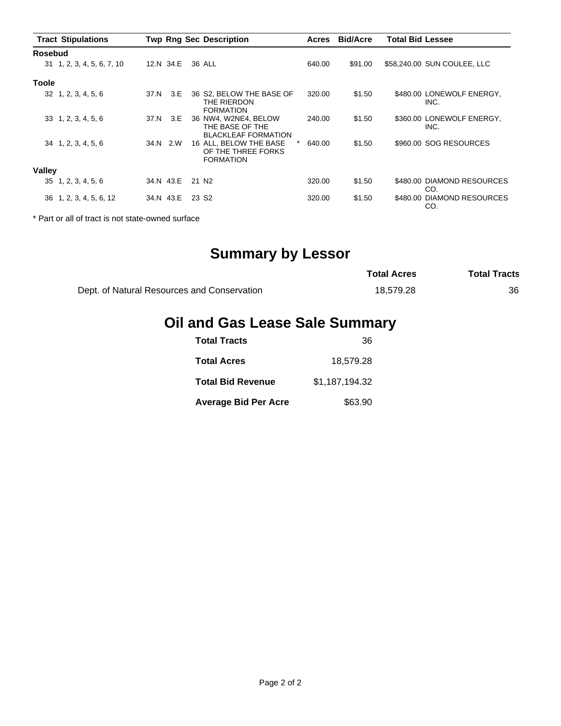|                | <b>Tract Stipulations</b>   |      |           | <b>Twp Rng Sec Description</b>                                        | <b>Acres</b> | <b>Bid/Acre</b> | <b>Total Bid Lessee</b> |                                   |
|----------------|-----------------------------|------|-----------|-----------------------------------------------------------------------|--------------|-----------------|-------------------------|-----------------------------------|
| <b>Rosebud</b> |                             |      |           |                                                                       |              |                 |                         |                                   |
|                | 31 1, 2, 3, 4, 5, 6, 7, 10  |      | 12.N 34.E | 36 ALL                                                                | 640.00       | \$91.00         |                         | \$58,240.00 SUN COULEE, LLC       |
| <b>Toole</b>   |                             |      |           |                                                                       |              |                 |                         |                                   |
|                | $32 \quad 1, 2, 3, 4, 5, 6$ | 37.N | 3.E       | 36 S2, BELOW THE BASE OF<br>THE RIERDON<br><b>FORMATION</b>           | 320.00       | \$1.50          |                         | \$480.00 LONEWOLF ENERGY,<br>INC. |
|                | $33 \quad 1, 2, 3, 4, 5, 6$ | 37.N | 3.E       | 36 NW4, W2NE4, BELOW<br>THE BASE OF THE<br><b>BLACKLEAF FORMATION</b> | 240.00       | \$1.50          |                         | \$360.00 LONEWOLF ENERGY,<br>INC. |
|                | 34 1, 2, 3, 4, 5, 6         |      | 34.N 2.W  | 16 ALL, BELOW THE BASE<br>OF THE THREE FORKS<br><b>FORMATION</b>      | 640.00       | \$1.50          |                         | \$960.00 SOG RESOURCES            |
| Valley         |                             |      |           |                                                                       |              |                 |                         |                                   |
|                | 35 1, 2, 3, 4, 5, 6         |      | 34.N 43.E | 21 N <sub>2</sub>                                                     | 320.00       | \$1.50          |                         | \$480.00 DIAMOND RESOURCES<br>CO. |
|                | 36 1, 2, 3, 4, 5, 6, 12     |      | 34.N 43.E | 23 S <sub>2</sub>                                                     | 320.00       | \$1.50          |                         | \$480.00 DIAMOND RESOURCES<br>CO. |

\* Part or all of tract is not state-owned surface

# **Summary by Lessor**

|                                             | <b>Total Acres</b> | <b>Total Tracts</b> |
|---------------------------------------------|--------------------|---------------------|
| Dept. of Natural Resources and Conservation | 18.579.28          | 36                  |

## **Oil and Gas Lease Sale Summary**

| <b>Total Tracts</b>         | 36             |
|-----------------------------|----------------|
| <b>Total Acres</b>          | 18.579.28      |
| <b>Total Bid Revenue</b>    | \$1,187,194.32 |
| <b>Average Bid Per Acre</b> | \$63.90        |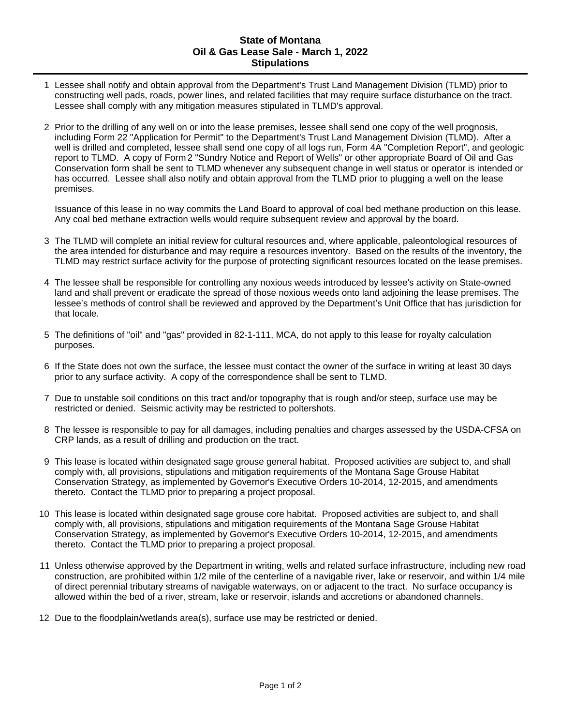#### **State of Montana Oil & Gas Lease Sale - March 1, 2022 Stipulations**

- 1 Lessee shall notify and obtain approval from the Department's Trust Land Management Division (TLMD) prior to constructing well pads, roads, power lines, and related facilities that may require surface disturbance on the tract. Lessee shall comply with any mitigation measures stipulated in TLMD's approval.
- 2 Prior to the drilling of any well on or into the lease premises, lessee shall send one copy of the well prognosis, including Form 22 "Application for Permit" to the Department's Trust Land Management Division (TLMD). After a well is drilled and completed, lessee shall send one copy of all logs run, Form 4A "Completion Report", and geologic report to TLMD. A copy of Form 2 "Sundry Notice and Report of Wells" or other appropriate Board of Oil and Gas Conservation form shall be sent to TLMD whenever any subsequent change in well status or operator is intended or has occurred. Lessee shall also notify and obtain approval from the TLMD prior to plugging a well on the lease premises.

Issuance of this lease in no way commits the Land Board to approval of coal bed methane production on this lease. Any coal bed methane extraction wells would require subsequent review and approval by the board.

- 3 The TLMD will complete an initial review for cultural resources and, where applicable, paleontological resources of the area intended for disturbance and may require a resources inventory. Based on the results of the inventory, the TLMD may restrict surface activity for the purpose of protecting significant resources located on the lease premises.
- 4 The lessee shall be responsible for controlling any noxious weeds introduced by lessee's activity on State-owned land and shall prevent or eradicate the spread of those noxious weeds onto land adjoining the lease premises. The lessee's methods of control shall be reviewed and approved by the Department's Unit Office that has jurisdiction for that locale.
- 5 The definitions of "oil" and "gas" provided in 82-1-111, MCA, do not apply to this lease for royalty calculation purposes.
- 6 If the State does not own the surface, the lessee must contact the owner of the surface in writing at least 30 days prior to any surface activity. A copy of the correspondence shall be sent to TLMD.
- 7 Due to unstable soil conditions on this tract and/or topography that is rough and/or steep, surface use may be restricted or denied. Seismic activity may be restricted to poltershots.
- 8 The lessee is responsible to pay for all damages, including penalties and charges assessed by the USDA-CFSA on CRP lands, as a result of drilling and production on the tract.
- 9 This lease is located within designated sage grouse general habitat. Proposed activities are subject to, and shall comply with, all provisions, stipulations and mitigation requirements of the Montana Sage Grouse Habitat Conservation Strategy, as implemented by Governor's Executive Orders 10-2014, 12-2015, and amendments thereto. Contact the TLMD prior to preparing a project proposal.
- 10 This lease is located within designated sage grouse core habitat. Proposed activities are subject to, and shall comply with, all provisions, stipulations and mitigation requirements of the Montana Sage Grouse Habitat Conservation Strategy, as implemented by Governor's Executive Orders 10-2014, 12-2015, and amendments thereto. Contact the TLMD prior to preparing a project proposal.
- 11 Unless otherwise approved by the Department in writing, wells and related surface infrastructure, including new road construction, are prohibited within 1/2 mile of the centerline of a navigable river, lake or reservoir, and within 1/4 mile of direct perennial tributary streams of navigable waterways, on or adjacent to the tract. No surface occupancy is allowed within the bed of a river, stream, lake or reservoir, islands and accretions or abandoned channels.
- 12 Due to the floodplain/wetlands area(s), surface use may be restricted or denied.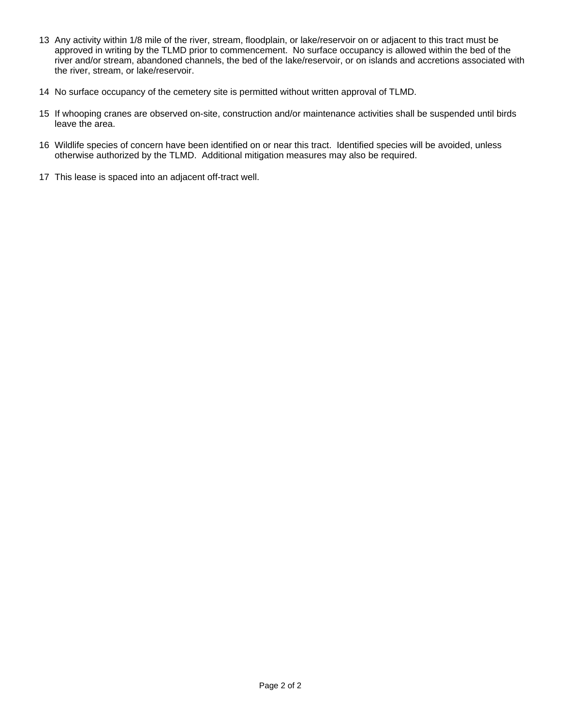- 13 Any activity within 1/8 mile of the river, stream, floodplain, or lake/reservoir on or adjacent to this tract must be approved in writing by the TLMD prior to commencement. No surface occupancy is allowed within the bed of the river and/or stream, abandoned channels, the bed of the lake/reservoir, or on islands and accretions associated with the river, stream, or lake/reservoir.
- 14 No surface occupancy of the cemetery site is permitted without written approval of TLMD.
- 15 If whooping cranes are observed on-site, construction and/or maintenance activities shall be suspended until birds leave the area.
- 16 Wildlife species of concern have been identified on or near this tract. Identified species will be avoided, unless otherwise authorized by the TLMD. Additional mitigation measures may also be required.
- 17 This lease is spaced into an adjacent off-tract well.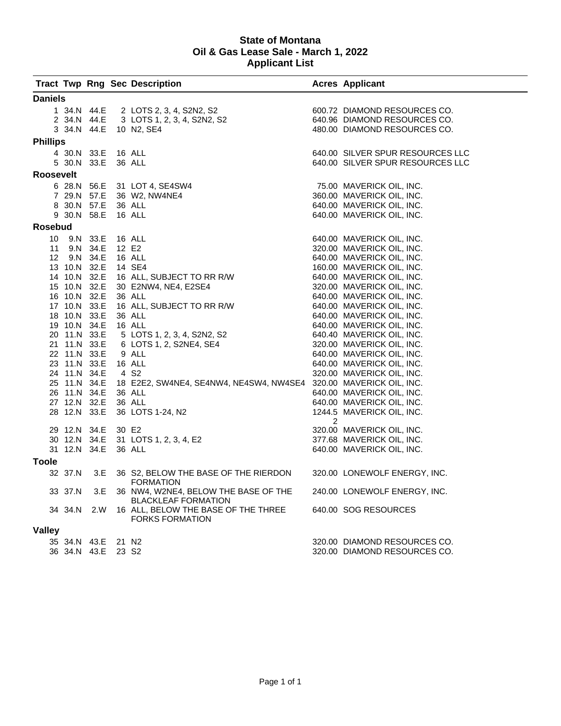#### **State of Montana Oil & Gas Lease Sale - March 1, 2022 Applicant List**

|                  |                    |          | <b>Tract Twp Rng Sec Description</b>                                                                                                                                                      |   | <b>Acres Applicant</b>           |
|------------------|--------------------|----------|-------------------------------------------------------------------------------------------------------------------------------------------------------------------------------------------|---|----------------------------------|
| <b>Daniels</b>   |                    |          |                                                                                                                                                                                           |   |                                  |
|                  | 1 34.N 44.E        |          | 2 LOTS 2, 3, 4, S2N2, S2                                                                                                                                                                  |   | 600.72 DIAMOND RESOURCES CO.     |
|                  | 2 34.N 44.E        |          | 3 LOTS 1, 2, 3, 4, S2N2, S2                                                                                                                                                               |   | 640.96 DIAMOND RESOURCES CO.     |
|                  |                    |          | 3 34.N 44.E 10 N2, SE4                                                                                                                                                                    |   | 480.00 DIAMOND RESOURCES CO.     |
| <b>Phillips</b>  |                    |          |                                                                                                                                                                                           |   |                                  |
|                  | 4 30.N 33.E        |          | 16 ALL                                                                                                                                                                                    |   | 640.00 SILVER SPUR RESOURCES LLC |
|                  | 5 30.N 33.E        |          | 36 ALL                                                                                                                                                                                    |   | 640.00 SILVER SPUR RESOURCES LLC |
|                  |                    |          |                                                                                                                                                                                           |   |                                  |
| <b>Roosevelt</b> |                    |          |                                                                                                                                                                                           |   |                                  |
|                  |                    |          | 6 28.N 56.E 31 LOT 4, SE4SW4                                                                                                                                                              |   | 75.00 MAVERICK OIL, INC.         |
|                  | 7 29.N 57.E        |          | 36 W2, NW4NE4                                                                                                                                                                             |   | 360.00 MAVERICK OIL, INC.        |
|                  | 8 30.N 57.E        |          | 36 ALL                                                                                                                                                                                    |   | 640.00 MAVERICK OIL, INC.        |
|                  | 9 30.N 58.E        |          | 16 ALL                                                                                                                                                                                    |   | 640.00 MAVERICK OIL, INC.        |
| <b>Rosebud</b>   |                    |          |                                                                                                                                                                                           |   |                                  |
| 10 <sup>1</sup>  |                    | 9.N 33.E | 16 ALL                                                                                                                                                                                    |   | 640.00 MAVERICK OIL, INC.        |
|                  | 11 9.N 34.E        |          | 12 E2                                                                                                                                                                                     |   | 320.00 MAVERICK OIL, INC.        |
|                  | 12 9.N 34.E        |          | 16 ALL                                                                                                                                                                                    |   | 640.00 MAVERICK OIL, INC.        |
|                  | 13 10.N 32.E       |          |                                                                                                                                                                                           |   | 160.00 MAVERICK OIL, INC.        |
|                  | 14 10.N 32.E       |          |                                                                                                                                                                                           |   | 640.00 MAVERICK OIL, INC.        |
|                  | 15 10.N 32.E       |          | 14 SE4<br>16 ALL, SUBJECT TO RR R/W<br>30 E2NW4, NE4, E2SE4<br>36 ALL<br>16 ALL, SUBJECT TO RR R/W<br>36 ALL<br>16 ALL<br>5 LOTS 1, 2, 3, 4, S2N2, S2<br>6 LOTS 1, 2, S2NE4, SE4<br>9 ALL |   | 320.00 MAVERICK OIL, INC.        |
|                  | 16 10.N 32.E       |          |                                                                                                                                                                                           |   | 640.00 MAVERICK OIL, INC.        |
|                  | 17 10.N 33.E       |          |                                                                                                                                                                                           |   | 640.00 MAVERICK OIL, INC.        |
|                  | 18 10.N 33.E       |          |                                                                                                                                                                                           |   | 640.00 MAVERICK OIL, INC.        |
|                  | 19 10.N 34.E       |          |                                                                                                                                                                                           |   | 640.00 MAVERICK OIL, INC.        |
|                  | 20 11.N 33.E       |          |                                                                                                                                                                                           |   | 640.40 MAVERICK OIL, INC.        |
|                  | 21 11.N 33.E       |          |                                                                                                                                                                                           |   | 320.00 MAVERICK OIL, INC.        |
|                  | 22 11.N 33.E       |          | 9 ALL                                                                                                                                                                                     |   | 640.00 MAVERICK OIL, INC.        |
|                  | 23 11.N 33.E       |          | 16 ALL                                                                                                                                                                                    |   | 640.00 MAVERICK OIL, INC.        |
|                  | 24 11.N 34.E       |          | 4 S <sub>2</sub>                                                                                                                                                                          |   | 320.00 MAVERICK OIL, INC.        |
|                  | 25 11.N 34.E       |          | 18 E2E2, SW4NE4, SE4NW4, NE4SW4, NW4SE4 320.00 MAVERICK OIL, INC.                                                                                                                         |   |                                  |
|                  | 26 11.N 34.E       |          | 36 ALL                                                                                                                                                                                    |   | 640.00 MAVERICK OIL, INC.        |
|                  | 27 12.N 32.E       |          | 36 ALL                                                                                                                                                                                    |   | 640.00 MAVERICK OIL, INC.        |
|                  | 28 12.N 33.E       |          | 36 LOTS 1-24, N2                                                                                                                                                                          |   | 1244.5 MAVERICK OIL, INC.        |
|                  | 29 12.N 34.E       |          | 30 E2                                                                                                                                                                                     | 2 | 320.00 MAVERICK OIL, INC.        |
|                  | 30 12.N 34.E       |          | 31 LOTS 1, 2, 3, 4, E2                                                                                                                                                                    |   | 377.68 MAVERICK OIL, INC.        |
|                  | 31 12.N 34.E       |          | 36 ALL                                                                                                                                                                                    |   | 640.00 MAVERICK OIL, INC.        |
|                  |                    |          |                                                                                                                                                                                           |   |                                  |
| <b>Toole</b>     |                    |          |                                                                                                                                                                                           |   |                                  |
|                  | 32 37.N            | 3.E      | 36 S2, BELOW THE BASE OF THE RIERDON<br><b>FORMATION</b>                                                                                                                                  |   | 320.00 LONEWOLF ENERGY, INC.     |
|                  | 33 37.N            | 3.E      | 36 NW4, W2NE4, BELOW THE BASE OF THE                                                                                                                                                      |   | 240.00 LONEWOLF ENERGY, INC.     |
|                  |                    |          | <b>BLACKLEAF FORMATION</b>                                                                                                                                                                |   |                                  |
|                  | 34 34.N 2.W        |          | 16 ALL, BELOW THE BASE OF THE THREE<br><b>FORKS FORMATION</b>                                                                                                                             |   | 640.00 SOG RESOURCES             |
| <b>Valley</b>    |                    |          |                                                                                                                                                                                           |   |                                  |
|                  |                    |          |                                                                                                                                                                                           |   |                                  |
|                  | 35 34.N 43.E 21 N2 |          |                                                                                                                                                                                           |   | 320.00 DIAMOND RESOURCES CO.     |
|                  | 36 34.N 43.E 23 S2 |          |                                                                                                                                                                                           |   | 320.00 DIAMOND RESOURCES CO.     |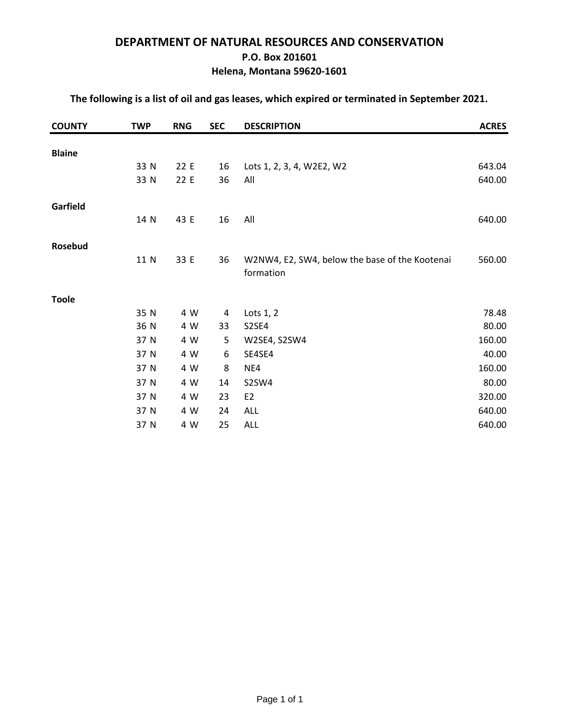## **DEPARTMENT OF NATURAL RESOURCES AND CONSERVATION P.O. Box 201601 Helena, Montana 59620-1601**

### **The following is a list of oil and gas leases, which expired or terminated in September 2021.**

| <b>COUNTY</b> | <b>TWP</b> | <b>RNG</b> | <b>SEC</b> | <b>DESCRIPTION</b>                                          | <b>ACRES</b> |
|---------------|------------|------------|------------|-------------------------------------------------------------|--------------|
|               |            |            |            |                                                             |              |
| <b>Blaine</b> |            |            |            |                                                             |              |
|               | 33 N       | 22 E       | 16         | Lots 1, 2, 3, 4, W2E2, W2                                   | 643.04       |
|               | 33 N       | 22 E       | 36         | All                                                         | 640.00       |
| Garfield      |            |            |            |                                                             |              |
|               | 14 N       | 43 E       | 16         | All                                                         | 640.00       |
| Rosebud       |            |            |            |                                                             |              |
|               | 11 N       | 33 E       | 36         | W2NW4, E2, SW4, below the base of the Kootenai<br>formation | 560.00       |
| <b>Toole</b>  |            |            |            |                                                             |              |
|               | 35 N       | 4 W        | 4          | Lots $1, 2$                                                 | 78.48        |
|               | 36 N       | 4 W        | 33         | S2SE4                                                       | 80.00        |
|               | 37 N       | 4 W        | 5          | W2SE4, S2SW4                                                | 160.00       |
|               | 37 N       | 4 W        | 6          | SE4SE4                                                      | 40.00        |
|               | 37 N       | 4 W        | 8          | NE4                                                         | 160.00       |
|               | 37 N       | 4 W        | 14         | S2SW4                                                       | 80.00        |
|               | 37 N       | 4 W        | 23         | E <sub>2</sub>                                              | 320.00       |
|               | 37 N       | 4 W        | 24         | ALL                                                         | 640.00       |
|               | 37 N       | 4 W        | 25         | <b>ALL</b>                                                  | 640.00       |